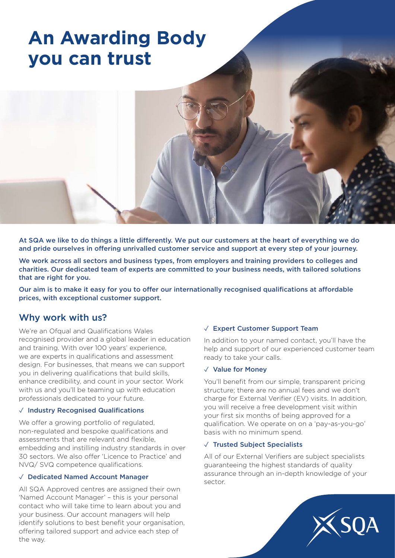# **An Awarding Body you can trust**

At SQA we like to do things a little differently. We put our customers at the heart of everything we do and pride ourselves in offering unrivalled customer service and support at every step of your journey.

We work across all sectors and business types, from employers and training providers to colleges and charities. Our dedicated team of experts are committed to your business needs, with tailored solutions that are right for you.

Our aim is to make it easy for you to offer our internationally recognised qualifications at affordable prices, with exceptional customer support.

### Why work with us?

We're an Ofqual and Qualifications Wales recognised provider and a global leader in education and training. With over 100 years' experience, we are experts in qualifications and assessment design. For businesses, that means we can support you in delivering qualifications that build skills, enhance credibility, and count in your sector. Work with us and you'll be teaming up with education professionals dedicated to your future.

#### ✓ Industry Recognised Qualifications

We offer a growing portfolio of regulated, non-regulated and bespoke qualifications and assessments that are relevant and flexible, embedding and instilling industry standards in over 30 sectors. We also offer 'Licence to Practice' and NVQ/ SVQ competence qualifications.

#### ✓ Dedicated Named Account Manager

All SQA Approved centres are assigned their own 'Named Account Manager' – this is your personal contact who will take time to learn about you and your business. Our account managers will help identify solutions to best benefit your organisation, offering tailored support and advice each step of the way.

#### ✓ Expert Customer Support Team

In addition to your named contact, you'll have the help and support of our experienced customer team ready to take your calls.

#### ✓ Value for Money

You'll benefit from our simple, transparent pricing structure; there are no annual fees and we don't charge for External Verifier (EV) visits. In addition, you will receive a free development visit within your first six months of being approved for a qualification. We operate on on a 'pay-as-you-go' basis with no minimum spend.

#### ✓ Trusted Subject Specialists

All of our External Verifiers are subject specialists guaranteeing the highest standards of quality assurance through an in-depth knowledge of your sector.